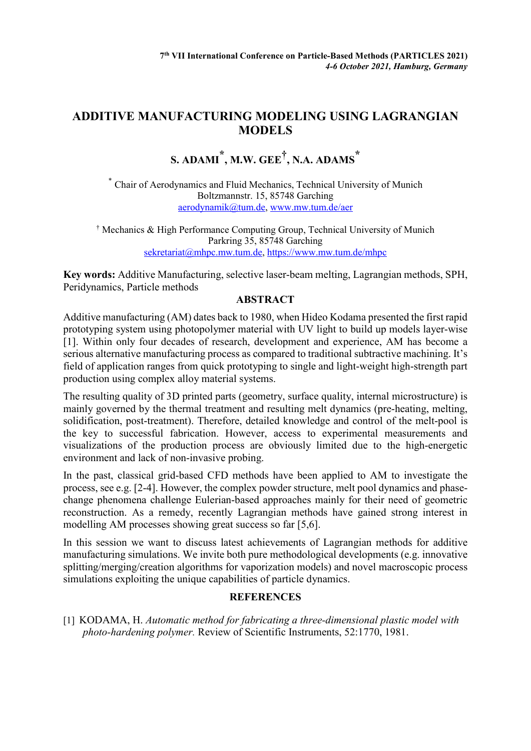## **ADDITIVE MANUFACTURING MODELING USING LAGRANGIAN MODELS**

## **S. ADAMI \* , M.W. GEE†, N.A. ADAMS \***

\* Chair of Aerodynamics and Fluid Mechanics, Technical University of Munich Boltzmannstr. 15, 85748 Garching [aerodynamik@tum.de,](mailto:aerodynamik@tum.de) [www.mw.tum.de/aer](http://www.mw.tum.de/aer)

† Mechanics & High Performance Computing Group, Technical University of Munich Parkring 35, 85748 Garching [sekretariat@mhpc.mw.tum.de,](mailto:sekretariat@mhpc.mw.tum.de)<https://www.mw.tum.de/mhpc>

**Key words:** Additive Manufacturing, selective laser-beam melting, Lagrangian methods, SPH, Peridynamics, Particle methods

## **ABSTRACT**

Additive manufacturing (AM) dates back to 1980, when Hideo Kodama presented the first rapid prototyping system using photopolymer material with UV light to build up models layer-wise [1]. Within only four decades of research, development and experience, AM has become a serious alternative manufacturing process as compared to traditional subtractive machining. It's field of application ranges from quick prototyping to single and light-weight high-strength part production using complex alloy material systems.

The resulting quality of 3D printed parts (geometry, surface quality, internal microstructure) is mainly governed by the thermal treatment and resulting melt dynamics (pre-heating, melting, solidification, post-treatment). Therefore, detailed knowledge and control of the melt-pool is the key to successful fabrication. However, access to experimental measurements and visualizations of the production process are obviously limited due to the high-energetic environment and lack of non-invasive probing.

In the past, classical grid-based CFD methods have been applied to AM to investigate the process, see e.g. [2-4]. However, the complex powder structure, melt pool dynamics and phasechange phenomena challenge Eulerian-based approaches mainly for their need of geometric reconstruction. As a remedy, recently Lagrangian methods have gained strong interest in modelling AM processes showing great success so far [5,6].

In this session we want to discuss latest achievements of Lagrangian methods for additive manufacturing simulations. We invite both pure methodological developments (e.g. innovative splitting/merging/creation algorithms for vaporization models) and novel macroscopic process simulations exploiting the unique capabilities of particle dynamics.

## **REFERENCES**

[1] KODAMA, H. *Automatic method for fabricating a three‐dimensional plastic model with photo‐hardening polymer.* Review of Scientific Instruments, 52:1770, 1981.